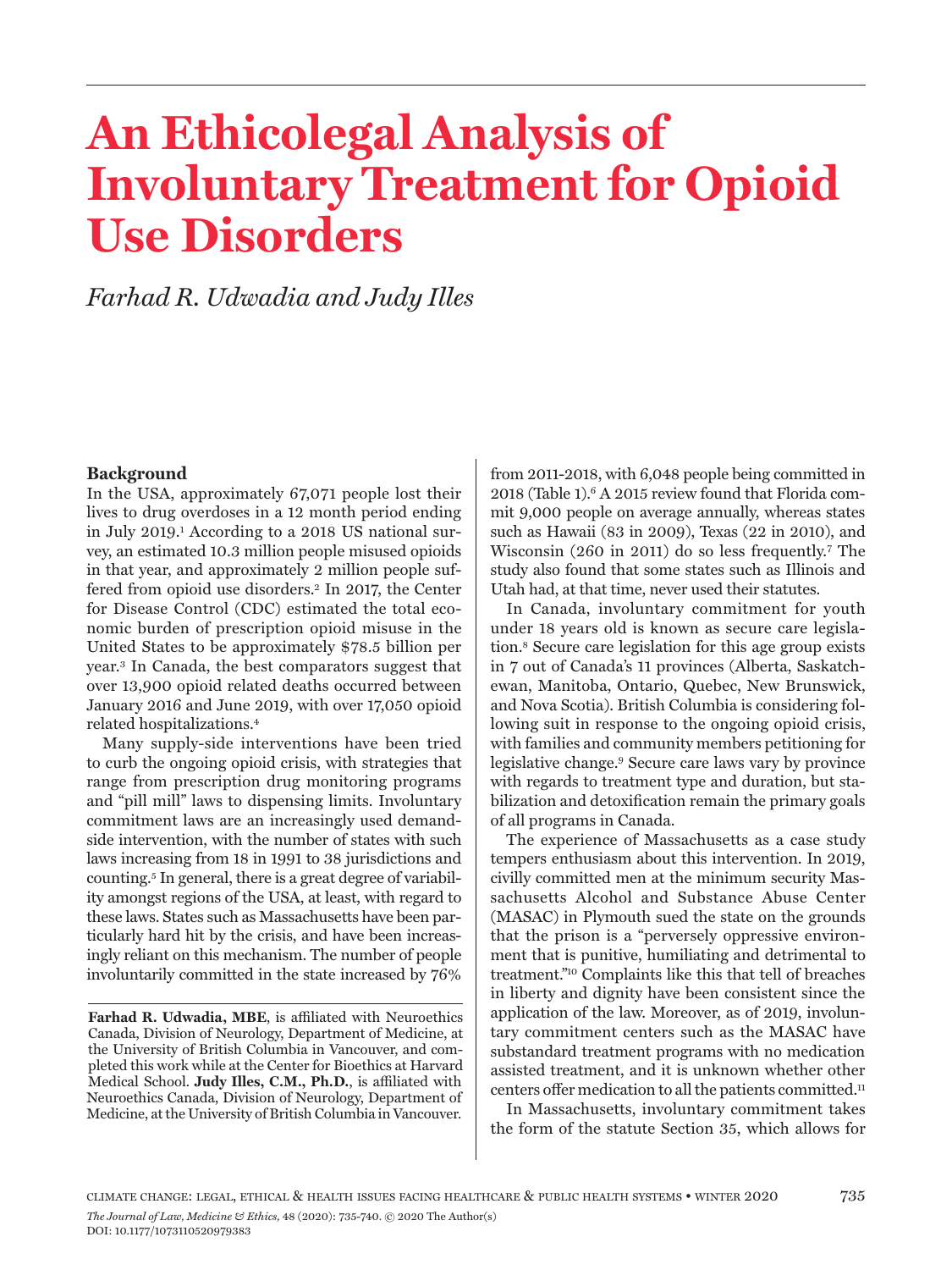# **An Ethicolegal Analysis of Involuntary Treatment for Opioid Use Disorders**

*Farhad R. Udwadia and Judy Illes*

#### **Background**

In the USA, approximately 67,071 people lost their lives to drug overdoses in a 12 month period ending in July 2019.1 According to a 2018 US national survey, an estimated 10.3 million people misused opioids in that year, and approximately 2 million people suffered from opioid use disorders.2 In 2017, the Center for Disease Control (CDC) estimated the total economic burden of prescription opioid misuse in the United States to be approximately \$78.5 billion per year.3 In Canada, the best comparators suggest that over 13,900 opioid related deaths occurred between January 2016 and June 2019, with over 17,050 opioid related hospitalizations.4

Many supply-side interventions have been tried to curb the ongoing opioid crisis, with strategies that range from prescription drug monitoring programs and "pill mill" laws to dispensing limits. Involuntary commitment laws are an increasingly used demandside intervention, with the number of states with such laws increasing from 18 in 1991 to 38 jurisdictions and counting.5 In general, there is a great degree of variability amongst regions of the USA, at least, with regard to these laws. States such as Massachusetts have been particularly hard hit by the crisis, and have been increasingly reliant on this mechanism. The number of people involuntarily committed in the state increased by 76%

**Farhad R. Udwadia, MBE**, is affiliated with Neuroethics Canada, Division of Neurology, Department of Medicine, at the University of British Columbia in Vancouver, and completed this work while at the Center for Bioethics at Harvard Medical School. **Judy Illes, C.M., Ph.D.**, is affiliated with Neuroethics Canada, Division of Neurology, Department of Medicine, at the University of British Columbia in Vancouver.

from 2011-2018, with 6,048 people being committed in 2018 (Table 1).6 A 2015 review found that Florida commit 9,000 people on average annually, whereas states such as Hawaii (83 in 2009), Texas (22 in 2010), and Wisconsin (260 in 2011) do so less frequently.7 The study also found that some states such as Illinois and Utah had, at that time, never used their statutes.

In Canada, involuntary commitment for youth under 18 years old is known as secure care legislation.8 Secure care legislation for this age group exists in 7 out of Canada's 11 provinces (Alberta, Saskatchewan, Manitoba, Ontario, Quebec, New Brunswick, and Nova Scotia). British Columbia is considering following suit in response to the ongoing opioid crisis, with families and community members petitioning for legislative change.9 Secure care laws vary by province with regards to treatment type and duration, but stabilization and detoxification remain the primary goals of all programs in Canada.

The experience of Massachusetts as a case study tempers enthusiasm about this intervention. In 2019, civilly committed men at the minimum security Massachusetts Alcohol and Substance Abuse Center (MASAC) in Plymouth sued the state on the grounds that the prison is a "perversely oppressive environment that is punitive, humiliating and detrimental to treatment."10 Complaints like this that tell of breaches in liberty and dignity have been consistent since the application of the law. Moreover, as of 2019, involuntary commitment centers such as the MASAC have substandard treatment programs with no medication assisted treatment, and it is unknown whether other centers offer medication to all the patients committed.11

In Massachusetts, involuntary commitment takes the form of the statute Section 35, which allows for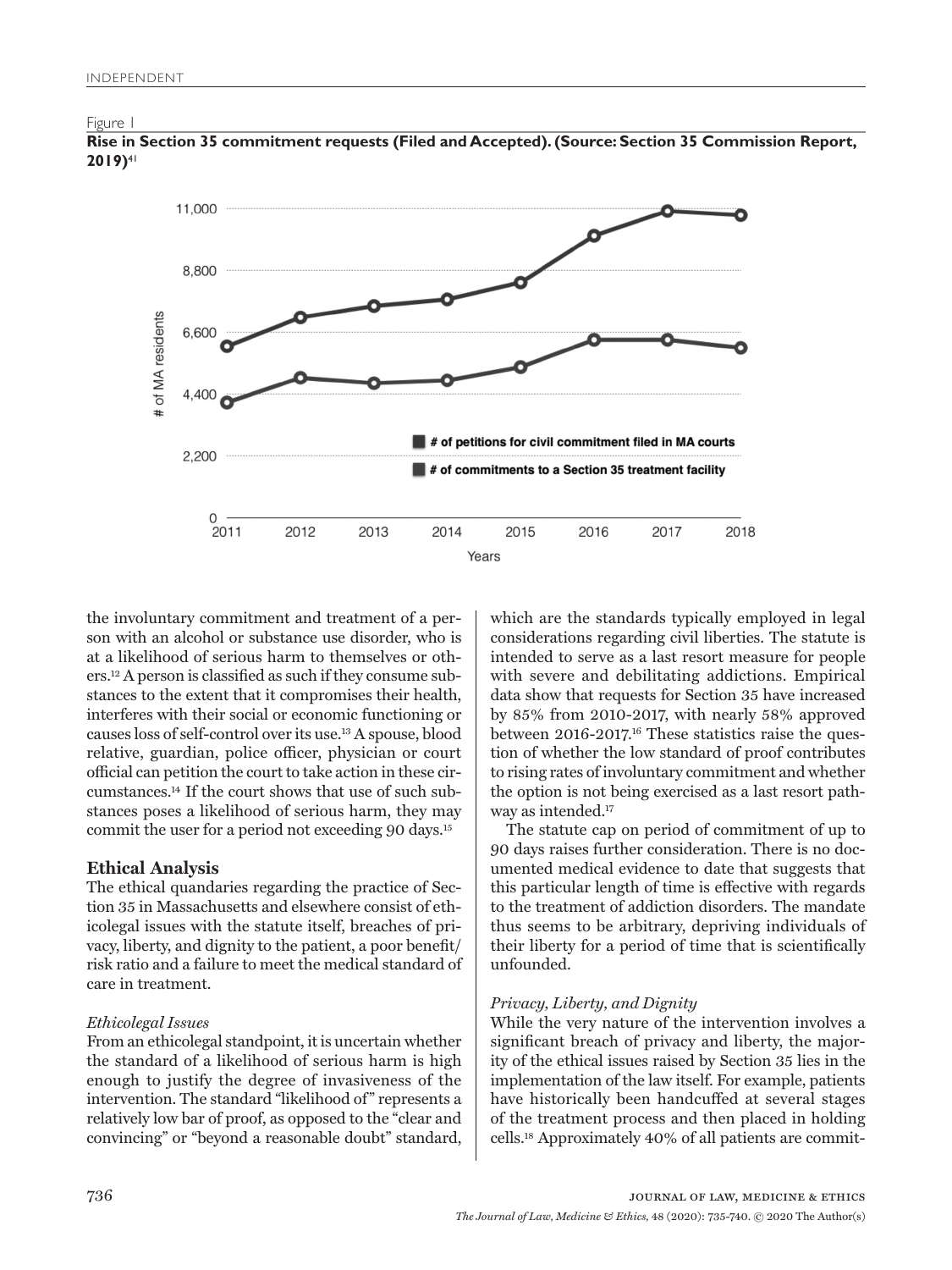Figure 1



**Rise in Section 35 commitment requests (Filed and Accepted). (Source: Section 35 Commission Report, 2019)**41

the involuntary commitment and treatment of a person with an alcohol or substance use disorder, who is at a likelihood of serious harm to themselves or others.12 A person is classified as such if they consume substances to the extent that it compromises their health, interferes with their social or economic functioning or causes loss of self-control over its use.13 A spouse, blood relative, guardian, police officer, physician or court official can petition the court to take action in these circumstances.14 If the court shows that use of such substances poses a likelihood of serious harm, they may commit the user for a period not exceeding 90 days.15

# **Ethical Analysis**

The ethical quandaries regarding the practice of Section 35 in Massachusetts and elsewhere consist of ethicolegal issues with the statute itself, breaches of privacy, liberty, and dignity to the patient, a poor benefit/ risk ratio and a failure to meet the medical standard of care in treatment.

## *Ethicolegal Issues*

From an ethicolegal standpoint, it is uncertain whether the standard of a likelihood of serious harm is high enough to justify the degree of invasiveness of the intervention. The standard "likelihood of" represents a relatively low bar of proof, as opposed to the "clear and convincing" or "beyond a reasonable doubt" standard,

which are the standards typically employed in legal considerations regarding civil liberties. The statute is intended to serve as a last resort measure for people with severe and debilitating addictions. Empirical data show that requests for Section 35 have increased by 85% from 2010-2017, with nearly 58% approved between 2016-2017.16 These statistics raise the question of whether the low standard of proof contributes to rising rates of involuntary commitment and whether the option is not being exercised as a last resort pathway as intended.<sup>17</sup>

The statute cap on period of commitment of up to 90 days raises further consideration. There is no documented medical evidence to date that suggests that this particular length of time is effective with regards to the treatment of addiction disorders. The mandate thus seems to be arbitrary, depriving individuals of their liberty for a period of time that is scientifically unfounded.

# *Privacy, Liberty, and Dignity*

While the very nature of the intervention involves a significant breach of privacy and liberty, the majority of the ethical issues raised by Section 35 lies in the implementation of the law itself. For example, patients have historically been handcuffed at several stages of the treatment process and then placed in holding cells.18 Approximately 40% of all patients are commit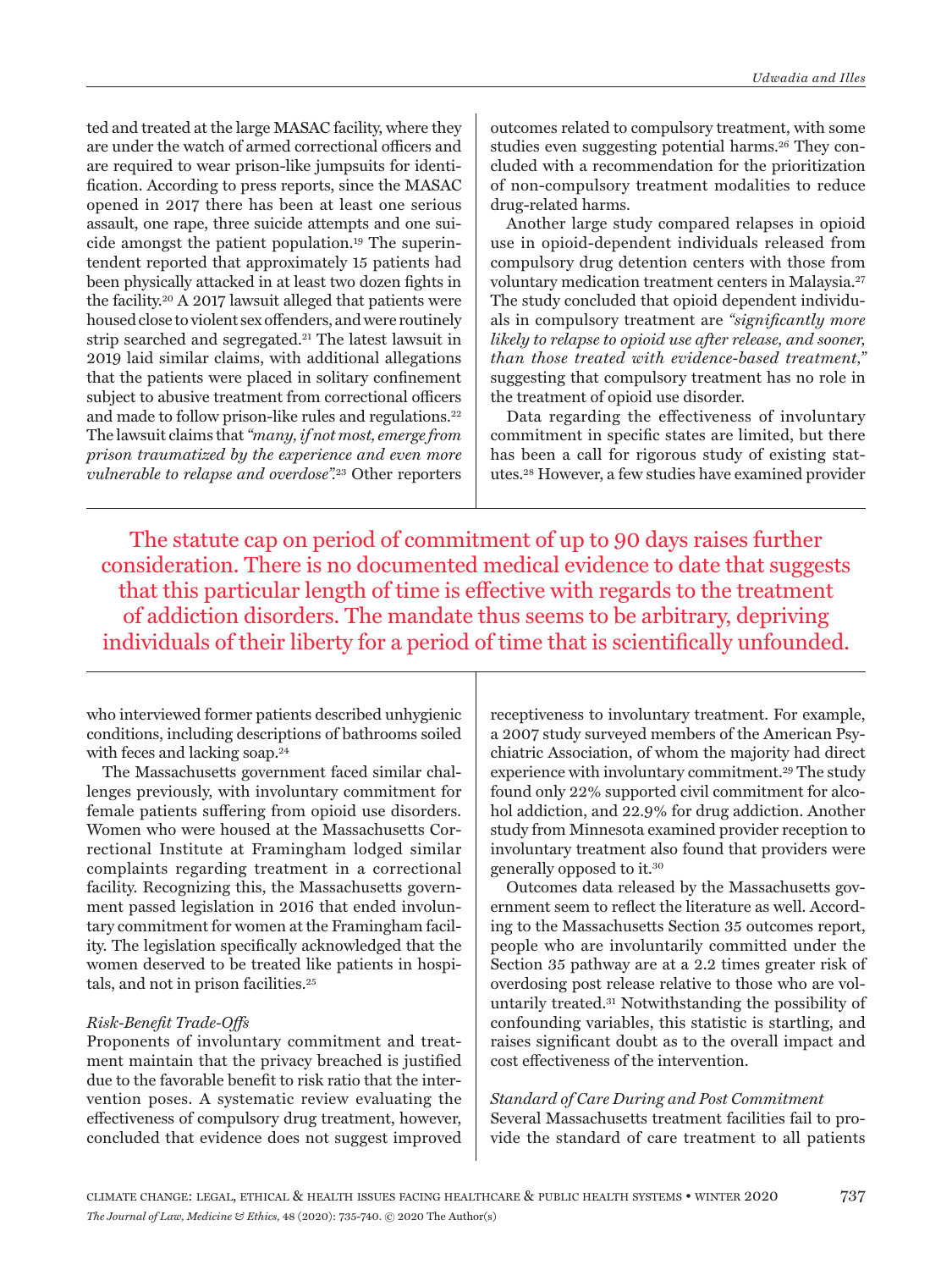ted and treated at the large MASAC facility, where they are under the watch of armed correctional officers and are required to wear prison-like jumpsuits for identification. According to press reports, since the MASAC opened in 2017 there has been at least one serious assault, one rape, three suicide attempts and one suicide amongst the patient population.19 The superintendent reported that approximately 15 patients had been physically attacked in at least two dozen fights in the facility.20 A 2017 lawsuit alleged that patients were housed close to violent sex offenders, and were routinely strip searched and segregated.21 The latest lawsuit in 2019 laid similar claims, with additional allegations that the patients were placed in solitary confinement subject to abusive treatment from correctional officers and made to follow prison-like rules and regulations.22 The lawsuit claims that *"many, if not most, emerge from prison traumatized by the experience and even more vulnerable to relapse and overdose".*23 Other reporters

outcomes related to compulsory treatment, with some studies even suggesting potential harms.26 They concluded with a recommendation for the prioritization of non-compulsory treatment modalities to reduce drug-related harms.

Another large study compared relapses in opioid use in opioid-dependent individuals released from compulsory drug detention centers with those from voluntary medication treatment centers in Malaysia.27 The study concluded that opioid dependent individuals in compulsory treatment are *"significantly more likely to relapse to opioid use after release, and sooner, than those treated with evidence-based treatment,"*  suggesting that compulsory treatment has no role in the treatment of opioid use disorder.

Data regarding the effectiveness of involuntary commitment in specific states are limited, but there has been a call for rigorous study of existing statutes.28 However, a few studies have examined provider

The statute cap on period of commitment of up to 90 days raises further consideration. There is no documented medical evidence to date that suggests that this particular length of time is effective with regards to the treatment of addiction disorders. The mandate thus seems to be arbitrary, depriving individuals of their liberty for a period of time that is scientifically unfounded.

who interviewed former patients described unhygienic conditions, including descriptions of bathrooms soiled with feces and lacking soap.<sup>24</sup>

The Massachusetts government faced similar challenges previously, with involuntary commitment for female patients suffering from opioid use disorders. Women who were housed at the Massachusetts Correctional Institute at Framingham lodged similar complaints regarding treatment in a correctional facility. Recognizing this, the Massachusetts government passed legislation in 2016 that ended involuntary commitment for women at the Framingham facility. The legislation specifically acknowledged that the women deserved to be treated like patients in hospitals, and not in prison facilities.<sup>25</sup>

## *Risk-Benefit Trade-Offs*

Proponents of involuntary commitment and treatment maintain that the privacy breached is justified due to the favorable benefit to risk ratio that the intervention poses. A systematic review evaluating the effectiveness of compulsory drug treatment, however, concluded that evidence does not suggest improved

receptiveness to involuntary treatment. For example, a 2007 study surveyed members of the American Psychiatric Association, of whom the majority had direct experience with involuntary commitment.29 The study found only 22% supported civil commitment for alcohol addiction, and 22.9% for drug addiction. Another study from Minnesota examined provider reception to involuntary treatment also found that providers were generally opposed to it.30

Outcomes data released by the Massachusetts government seem to reflect the literature as well. According to the Massachusetts Section 35 outcomes report, people who are involuntarily committed under the Section 35 pathway are at a 2.2 times greater risk of overdosing post release relative to those who are voluntarily treated.31 Notwithstanding the possibility of confounding variables, this statistic is startling, and raises significant doubt as to the overall impact and cost effectiveness of the intervention.

#### *Standard of Care During and Post Commitment*

Several Massachusetts treatment facilities fail to provide the standard of care treatment to all patients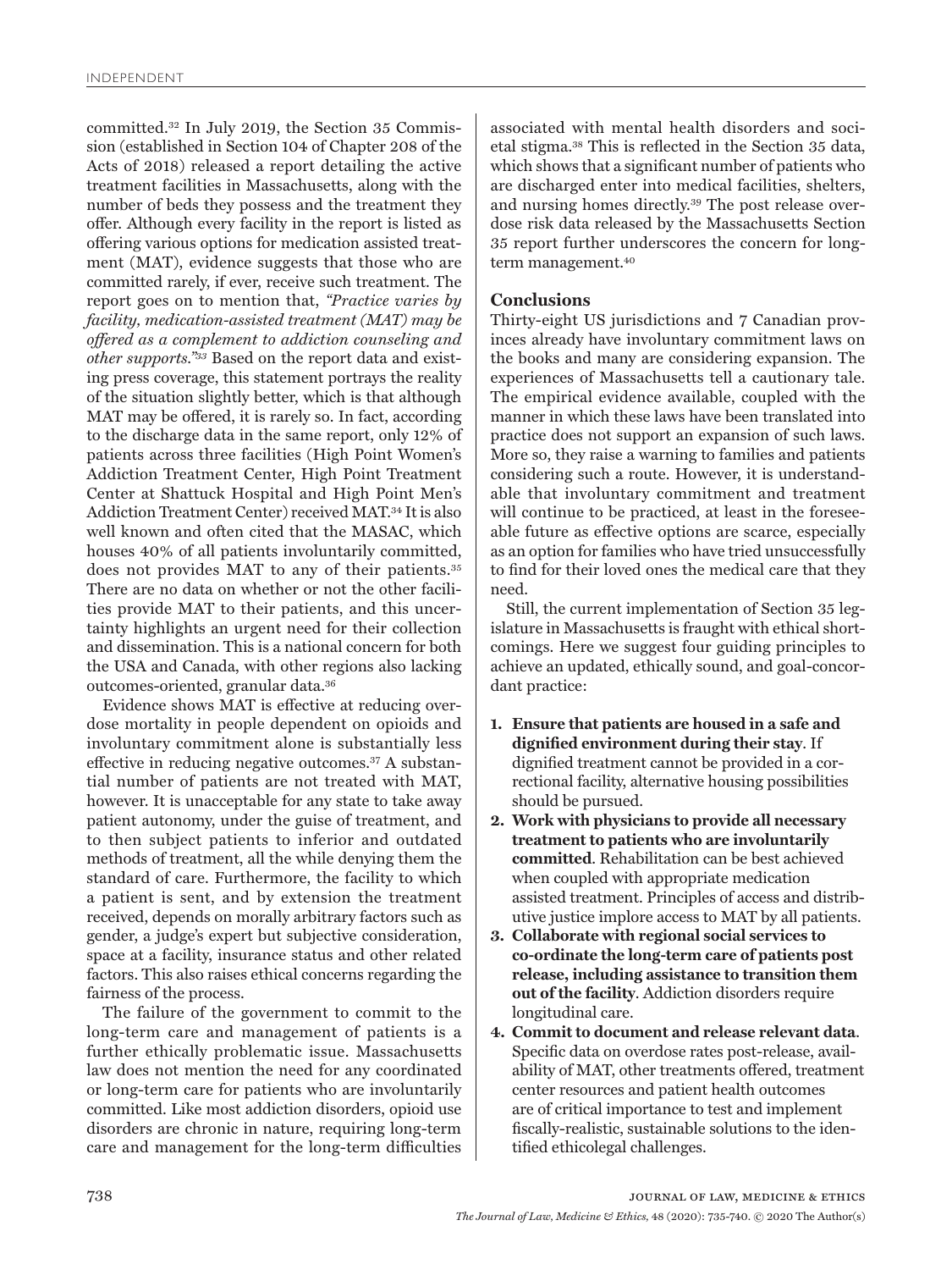committed.32 In July 2019, the Section 35 Commission (established in Section 104 of Chapter 208 of the Acts of 2018) released a report detailing the active treatment facilities in Massachusetts, along with the number of beds they possess and the treatment they offer. Although every facility in the report is listed as offering various options for medication assisted treatment (MAT), evidence suggests that those who are committed rarely, if ever, receive such treatment. The report goes on to mention that, *"Practice varies by facility, medication-assisted treatment (MAT) may be offered as a complement to addiction counseling and other supports."33* Based on the report data and existing press coverage, this statement portrays the reality of the situation slightly better, which is that although MAT may be offered, it is rarely so. In fact, according to the discharge data in the same report, only 12% of patients across three facilities (High Point Women's Addiction Treatment Center, High Point Treatment Center at Shattuck Hospital and High Point Men's Addiction Treatment Center) received MAT.34 It is also well known and often cited that the MASAC, which houses 40% of all patients involuntarily committed, does not provides MAT to any of their patients.35 There are no data on whether or not the other facilities provide MAT to their patients, and this uncertainty highlights an urgent need for their collection and dissemination. This is a national concern for both the USA and Canada, with other regions also lacking outcomes-oriented, granular data.36

Evidence shows MAT is effective at reducing overdose mortality in people dependent on opioids and involuntary commitment alone is substantially less effective in reducing negative outcomes.37 A substantial number of patients are not treated with MAT, however. It is unacceptable for any state to take away patient autonomy, under the guise of treatment, and to then subject patients to inferior and outdated methods of treatment, all the while denying them the standard of care. Furthermore, the facility to which a patient is sent, and by extension the treatment received, depends on morally arbitrary factors such as gender, a judge's expert but subjective consideration, space at a facility, insurance status and other related factors. This also raises ethical concerns regarding the fairness of the process.

The failure of the government to commit to the long-term care and management of patients is a further ethically problematic issue. Massachusetts law does not mention the need for any coordinated or long-term care for patients who are involuntarily committed. Like most addiction disorders, opioid use disorders are chronic in nature, requiring long-term care and management for the long-term difficulties

associated with mental health disorders and societal stigma.38 This is reflected in the Section 35 data, which shows that a significant number of patients who are discharged enter into medical facilities, shelters, and nursing homes directly.39 The post release overdose risk data released by the Massachusetts Section 35 report further underscores the concern for longterm management.<sup>40</sup>

## **Conclusions**

Thirty-eight US jurisdictions and 7 Canadian provinces already have involuntary commitment laws on the books and many are considering expansion. The experiences of Massachusetts tell a cautionary tale. The empirical evidence available, coupled with the manner in which these laws have been translated into practice does not support an expansion of such laws. More so, they raise a warning to families and patients considering such a route. However, it is understandable that involuntary commitment and treatment will continue to be practiced, at least in the foreseeable future as effective options are scarce, especially as an option for families who have tried unsuccessfully to find for their loved ones the medical care that they need.

Still, the current implementation of Section 35 legislature in Massachusetts is fraught with ethical shortcomings. Here we suggest four guiding principles to achieve an updated, ethically sound, and goal-concordant practice:

- **1. Ensure that patients are housed in a safe and dignified environment during their stay**. If dignified treatment cannot be provided in a correctional facility, alternative housing possibilities should be pursued.
- **2. Work with physicians to provide all necessary treatment to patients who are involuntarily committed**. Rehabilitation can be best achieved when coupled with appropriate medication assisted treatment. Principles of access and distributive justice implore access to MAT by all patients.
- **3. Collaborate with regional social services to co-ordinate the long-term care of patients post release, including assistance to transition them out of the facility**. Addiction disorders require longitudinal care.
- **4. Commit to document and release relevant data**. Specific data on overdose rates post-release, availability of MAT, other treatments offered, treatment center resources and patient health outcomes are of critical importance to test and implement fiscally-realistic, sustainable solutions to the identified ethicolegal challenges.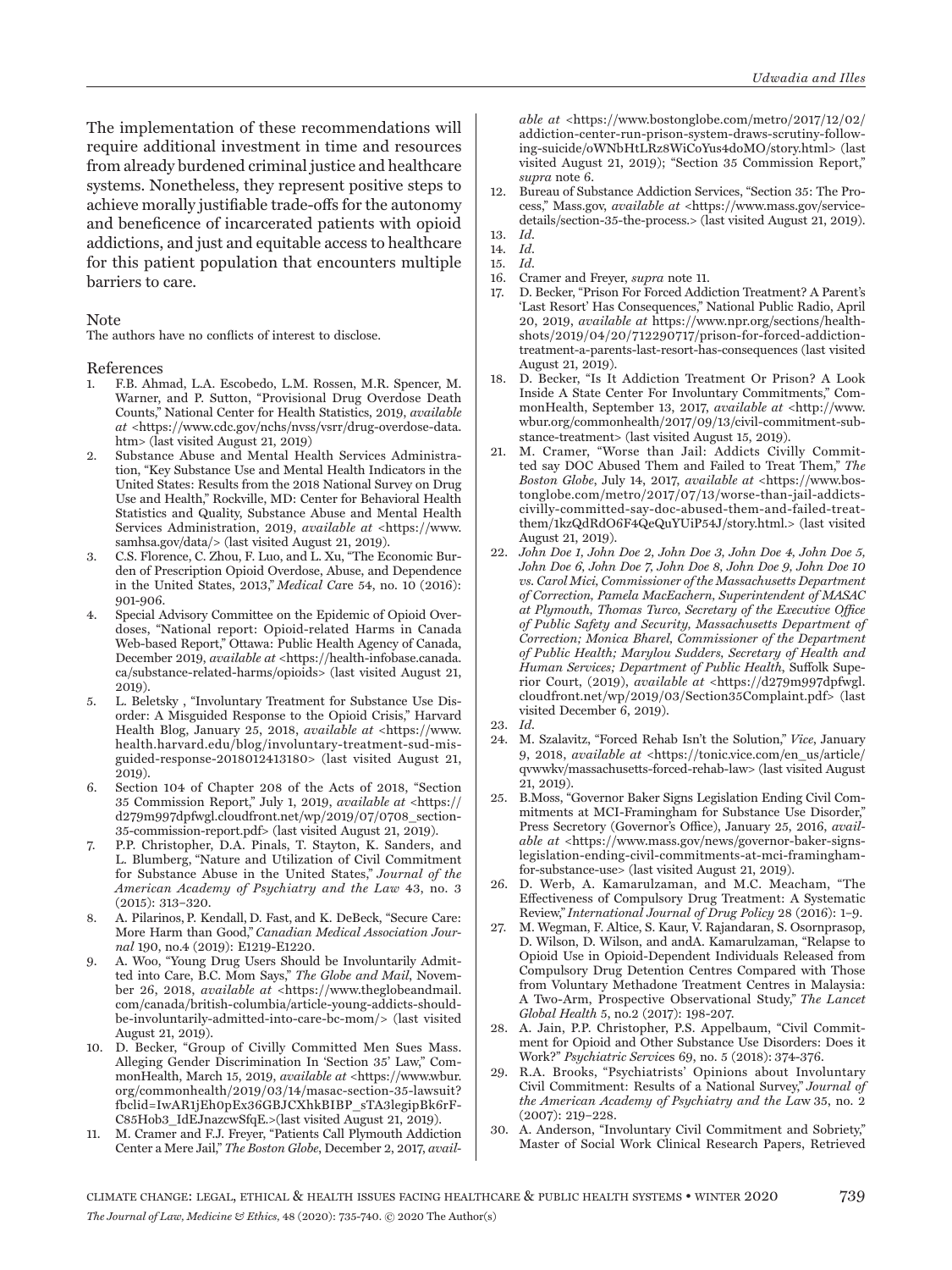The implementation of these recommendations will require additional investment in time and resources from already burdened criminal justice and healthcare systems. Nonetheless, they represent positive steps to achieve morally justifiable trade-offs for the autonomy and beneficence of incarcerated patients with opioid addictions, and just and equitable access to healthcare for this patient population that encounters multiple barriers to care.

#### Note

The authors have no conflicts of interest to disclose.

#### References

- 1. F.B. Ahmad, L.A. Escobedo, L.M. Rossen, M.R. Spencer, M. Warner, and P. Sutton, "Provisional Drug Overdose Death Counts," National Center for Health Statistics, 2019, *available at* <https://www.cdc.gov/nchs/nvss/vsrr/drug-overdose-data. htm> (last visited August 21, 2019)
- Substance Abuse and Mental Health Services Administration, "Key Substance Use and Mental Health Indicators in the United States: Results from the 2018 National Survey on Drug Use and Health," Rockville, MD: Center for Behavioral Health Statistics and Quality, Substance Abuse and Mental Health Services Administration, 2019, *available at* <https://www. samhsa.gov/data/> (last visited August 21, 2019).
- 3. C.S. Florence, C. Zhou, F. Luo, and L. Xu, "The Economic Burden of Prescription Opioid Overdose, Abuse, and Dependence in the United States, 2013," *Medical Ca*re 54, no. 10 (2016): 901-906.
- 4. Special Advisory Committee on the Epidemic of Opioid Overdoses, "National report: Opioid-related Harms in Canada Web-based Report," Ottawa: Public Health Agency of Canada, December 2019, *available at* <https://health-infobase.canada. ca/substance-related-harms/opioids> (last visited August 21, 2019).
- 5. L. Beletsky , "Involuntary Treatment for Substance Use Disorder: A Misguided Response to the Opioid Crisis," Harvard Health Blog, January 25, 2018, *available at* <https://www. health.harvard.edu/blog/involuntary-treatment-sud-misguided-response-2018012413180> (last visited August 21, 2019).
- 6. Section 104 of Chapter 208 of the Acts of 2018, "Section 35 Commission Report," July 1, 2019, *available at* <https:// d279m997dpfwgl.cloudfront.net/wp/2019/07/0708\_section-35-commission-report.pdf> (last visited August 21, 2019).
- 7. P.P. Christopher, D.A. Pinals, T. Stayton, K. Sanders, and L. Blumberg, "Nature and Utilization of Civil Commitment for Substance Abuse in the United States," *Journal of the American Academy of Psychiatry and the Law* 43, no. 3 (2015): 313–320.
- 8. A. Pilarinos, P. Kendall, D. Fast, and K. DeBeck, "Secure Care: More Harm than Good," *Canadian Medical Association Journal* 190, no.4 (2019): E1219-E1220.
- 9. A. Woo, "Young Drug Users Should be Involuntarily Admitted into Care, B.C. Mom Says," *The Globe and Mail*, November 26, 2018, *available at* <https://www.theglobeandmail. com/canada/british-columbia/article-young-addicts-shouldbe-involuntarily-admitted-into-care-bc-mom/> (last visited August 21, 2019).
- 10. D. Becker, "Group of Civilly Committed Men Sues Mass. Alleging Gender Discrimination In 'Section 35' Law," CommonHealth, March 15, 2019, *available at* <https://www.wbur. org/commonhealth/2019/03/14/masac-section-35-lawsuit? fbclid=IwAR1jEh0pEx36GBJCXhkBIBP\_sTA3legipBk6rF-C85Hob3\_IdEJnazcwSfqE.>(last visited August 21, 2019).
- 11. M. Cramer and F.J. Freyer, "Patients Call Plymouth Addiction Center a Mere Jail," *The Boston Globe*, December 2, 2017, *avail-*

*able at* <https://www.bostonglobe.com/metro/2017/12/02/ addiction-center-run-prison-system-draws-scrutiny-following-suicide/oWNbHtLRz8WiCoYus4doMO/story.html> (last visited August 21, 2019); "Section 35 Commission Report," *supra* note 6.

12. Bureau of Substance Addiction Services, "Section 35: The Process," Mass.gov, *available at* <https://www.mass.gov/servicedetails/section-35-the-process.> (last visited August 21, 2019).

- 15. *Id*.
- 16. Cramer and Freyer, *supra* note 11.
- 17. D. Becker, "Prison For Forced Addiction Treatment? A Parent's 'Last Resort' Has Consequences," National Public Radio, April 20, 2019, *available at* https://www.npr.org/sections/healthshots/2019/04/20/712290717/prison-for-forced-addictiontreatment-a-parents-last-resort-has-consequences (last visited August 21, 2019).
- 18. D. Becker, "Is It Addiction Treatment Or Prison? A Look Inside A State Center For Involuntary Commitments," CommonHealth, September 13, 2017, *available at* <http://www. wbur.org/commonhealth/2017/09/13/civil-commitment-substance-treatment> (last visited August 15, 2019).
- 21. M. Cramer, "Worse than Jail: Addicts Civilly Committed say DOC Abused Them and Failed to Treat Them," *The Boston Globe*, July 14, 2017, *available at* <https://www.bostonglobe.com/metro/2017/07/13/worse-than-jail-addictscivilly-committed-say-doc-abused-them-and-failed-treatthem/1kzQdRdO6F4QeQuYUiP54J/story.html.> (last visited August 21, 2019).
- 22. *John Doe 1, John Doe 2, John Doe 3, John Doe 4, John Doe 5, John Doe 6, John Doe 7, John Doe 8, John Doe 9, John Doe 10 vs. Carol Mici, Commissioner of the Massachusetts Department of Correction, Pamela MacEachern, Superintendent of MASAC at Plymouth, Thomas Turco, Secretary of the Executive Office of Public Safety and Security, Massachusetts Department of Correction; Monica Bharel, Commissioner of the Department of Public Health; Marylou Sudders, Secretary of Health and Human Services; Department of Public Health*, Suffolk Superior Court, (2019), *available at* <https://d279m997dpfwgl. cloudfront.net/wp/2019/03/Section35Complaint.pdf> (last visited December 6, 2019).
- 23. *Id*.
- 24. M. Szalavitz, "Forced Rehab Isn't the Solution," *Vice*, January 9, 2018, *available at* <https://tonic.vice.com/en\_us/article/ qvwwkv/massachusetts-forced-rehab-law> (last visited August 21, 2019).
- 25. B.Moss, "Governor Baker Signs Legislation Ending Civil Commitments at MCI-Framingham for Substance Use Disorder," Press Secretory (Governor's Office), January 25, 2016, *available at* <https://www.mass.gov/news/governor-baker-signslegislation-ending-civil-commitments-at-mci-framinghamfor-substance-use> (last visited August 21, 2019).
- 26. D. Werb, A. Kamarulzaman, and M.C. Meacham, "The Effectiveness of Compulsory Drug Treatment: A Systematic Review," *International Journal of Drug Policy* 28 (2016): 1–9.
- 27. M. Wegman, F. Altice, S. Kaur, V. Rajandaran, S. Osornprasop, D. Wilson, D. Wilson, and andA. Kamarulzaman, "Relapse to Opioid Use in Opioid-Dependent Individuals Released from Compulsory Drug Detention Centres Compared with Those from Voluntary Methadone Treatment Centres in Malaysia: A Two-Arm, Prospective Observational Study," *The Lancet Global Health* 5, no.2 (2017): 198-207.
- 28. A. Jain, P.P. Christopher, P.S. Appelbaum, "Civil Commitment for Opioid and Other Substance Use Disorders: Does it Work?" *Psychiatric Servic*es 69, no. 5 (2018): 374-376.
- 29. R.A. Brooks, "Psychiatrists' Opinions about Involuntary Civil Commitment: Results of a National Survey," *Journal of the American Academy of Psychiatry and the La*w 35, no. 2 (2007): 219–228.
- A. Anderson, "Involuntary Civil Commitment and Sobriety," Master of Social Work Clinical Research Papers, Retrieved

<sup>13.</sup> *Id*. 14. *Id*.